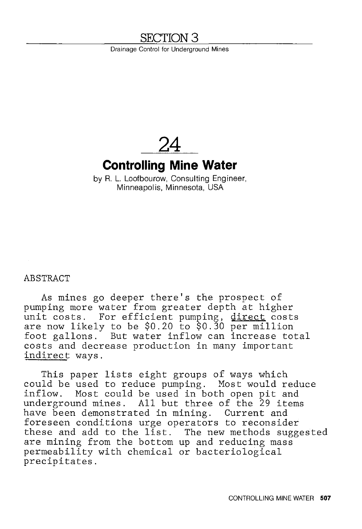# **SECTION3**

Drainage Control for Underground Mines

**24** 

# **Controlling Mine Water**

by R. L. Loofbourow, Consulting Engineer, Minneapolis, Minnesota, USA

ABSTRACT

As mines go deeper there's the prospect of pumping more water from greater depth at higher unit costs. For efficient pumping, direct costs are now likely to be \$0.20 to \$0.30 per million foot gallons. But water inflow can increase total costs and decrease production in many important indirect ways.

This paper lists eight groups of ways which could be used to reduce pumping. Most would reduce inflow. Most could be used in both open pit and underground mines. All but three of the 29 items have been demonstrated in mining. Current and foreseen conditions urge operators to reconsider these and add to the list. The new methods suggested are mining from the bottom up and reducing mass permeability with chemical or bacteriological precipitates.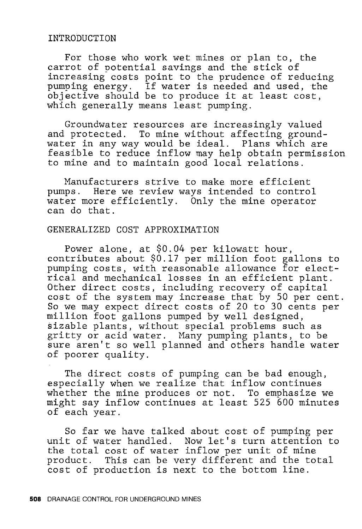### INTRODUCTION

For those who work wet mines or plan to, the carrot of potential savings and the stick of increasing costs point to the prudence of reducing pumping energy. If water is needed and used, the pumping energy. It water is needed and used, the<br>objective should be to produce it at least cost, which generally means least pumping.

Groundwater resources are increasingly valued and protected. To mine without affecting groundwater in any way would be ideal. Plans which are feasible to reduce inflow may help obtain permission to mine and to maintain good local relations.

Manufacturers strive to make more efficient pumps. Here we review ways intended to control water more efficiently. Only the mine operator can do that.

## GENERALIZED COST APPROXIMATION

Power alone, at \$0.04 per kilowatt hour, contributes about \$0.17 per million foot gallons to pumping costs, with reasonable allowance for electrical and mechanical losses in an efficient plant. Other direct costs, including recovery of capital cost of the system may increase that by 50 per cent. So we may expect direct costs of 20 to 30 cents per million foot gallons pumped by well designed, sizable plants, without special problems such as gritty or acid water. Many pumping plants, to be sure aren't so well planned and others handle water of poorer quality.

The direct costs of pumping can be bad enough, especially when we realize that inflow continues whether the mine produces or not. To emphasize we might say inflow continues at least 525 600 minutes of each year.

So far we have talked about cost of pumping per unit of water handled. Now let's turn attention to ante of water handied: How fee 5 carn decentro. product. This can be very different and the total cost of production is next to the bottom line.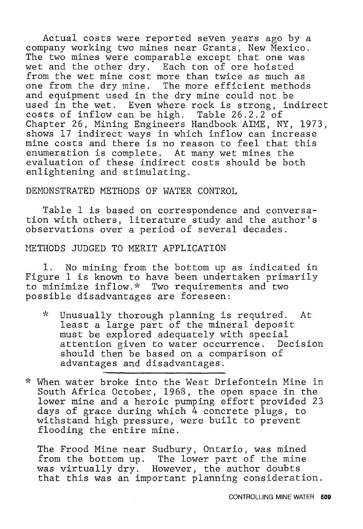Actual costs were reported seven years ago by a company working two mines near Grants, New Mexico. The two mines were comparable except that one was wet and the other dry. Each ton of ore hoisted from the wet mine cost more than twice as much as one from the dry mine. The more efficient methods and equipment used in the dry mine could not be used in the wet. Even where rock is strong, indirect costs of inflow can be high. Table 26.2.2 of Chapter 26, Mining Engineers Handbook AIME, NY, 1973, shows 17 indirect ways in which inflow can increase mine costs and there is no reason to feel that this enumeration is complete. At many wet mines the evaluation of these indirect costs should be both enlightening and stimulating.

DEMONSTRATED METHODS OF WATER CONTROL

Table 1 is based on correspondence and conversation with others, literature study and the author's observations over a period of several decades.

METHODS JUDGED TO MERIT APPLICATION

1. No mining from the bottom up as indicated in Figure 1 is known to have been undertaken primarily to minimize inflow.\* Two requirements and two possible disadvantages are foreseen:

- *-1>* Unusually thorough planning is required. At least a large part of the mineral deposit must be explored adequately with special attention given to water occurrence. Decision should then be based on a comparison of advantages and disadvantages.~
- \* When water broke into the West Driefontein Mine in South Africa October, 1968, the open space in the lower mine and a heroic pumping effort provided 23 days of grace during which 4 concrete plugs, to withstand high pressure, were built to prevent flooding the entire mine.

The Frood Mine near Sudbury, Ontario, was mined from the bottom up. The lower part of the mine was virtually dry. However, the author doubts that this was an important planning consideration.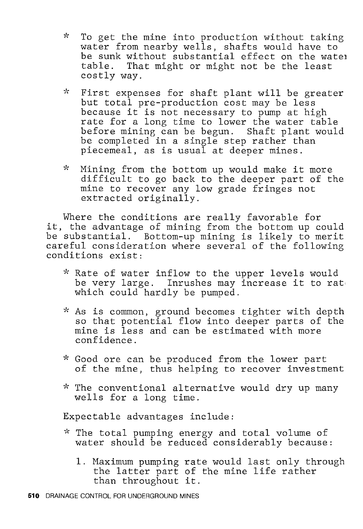- $\mathbf{x}$ To get the mine into production without taking water from nearby wells, shafts would have to be sunk without substantial effect on the watel table. That might or might not be the least costly way.
- $\star$ First expenses for shaft plant will be greater but total pre-production cost may be less because it is not necessary to pump at high rate for a long time to lower the water table before mining can be begun. Shaft plant would be completed in a single step rather than piecemeal, as is usual at deeper mines.
- $\mathbf{x}$ Mining from the bottom up would make it more difficult to go back to the deeper part of the mine to recover any low grade fringes not extracted originally.

Where the conditions are really favorable for it, the advantage of mining from the bottom up could be substantial. Bottom-up mining is likely to merit careful consideration where several of the following conditions exist:

- \* Rate of water inflow to the upper levels would be very large. Inrushes may increase it to rat which could hardly be pumped.
- ?'' As is common, ground becomes tighter with depth so that potential flow into deeper parts of the be ende poetherar from the deeper parts of confidence.
- \* Good ore can be produced from the lower part of the mine, thus helping to recover investment
- \* The conventional alternative would dry up many wells for a long time.

Expectable advantages include:

- *·k* The total pumping energy and total volume of water should be reduced considerably because:
	- 1. Maximum pumping rate would last only through the latter part of the mine life rather than throughout it.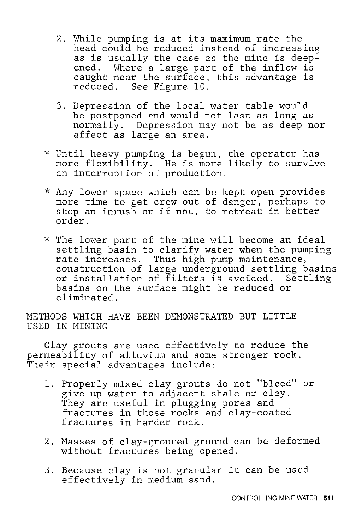- 2. While pumping is at its maximum rate the head could be reduced instead of increasing as is usually the case as the mine is deepened. Where a large part of the inflow is caught near the surface, this advantage is reduced. See Figure 10.
- 3. Depression of the local water table would be postponed and would not last as long as normally. Depression may not be as deep nor affect as large an area.
- \* Until heavy pumping is begun, the operator has more flexibility. He is more likely to survive an interruption of production.
- \* Any lower space which can be kept open provides more time to get crew out of danger, perhaps to stop an inrush or if not, to retreat in better order.
- \* The lower part of the mine will become an ideal settling basin to clarify water when the pumping rate increases. Thus high pump maintenance, construction of large underground settling basins or installation of filters is avoided. Settling basins on the surface might be reduced or eliminated.

METHODS WHICH HAVE BEEN DEMONSTRATED BUT LITTLE USED IN MINING

Clay grouts are used effectively to reduce the permeability of alluvium and some stronger rock. Their special advantages include:

- 1. Properly mixed clay grouts do not "bleed" or give up water to adjacent shale or clay. They are useful in plugging pores and fractures in those rocks and clay-coated fractures in harder rock.
- 2. Masses of clay-grouted ground can be deformed without fractures being opened.
- 3. Because clay is not granular it can be used effectively in medium sand.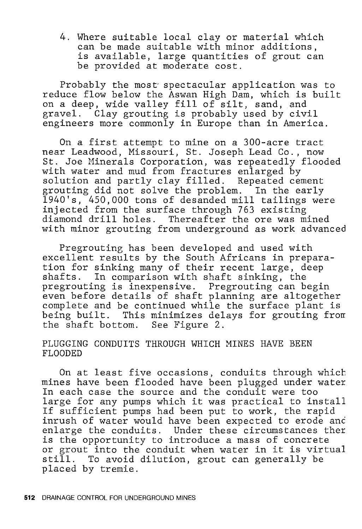4. Where suitable local clay or material which can be made suitable with minor additions, is available, large quantities of grout can be provided at moderate cost.

Probably the most spectacular application was to reduce flow below the Aswan High Dam, which is built on a deep, wide valley fill of silt, sand, and gravel. Clay grouting is probably used by civil engineers more commonly in Europe than in America.

On a first attempt to mine on a 300-acre tract near Leadwood, Missouri, St. Joseph Lead Co., now St. Joe Minerals Corporation, was repeatedly flooded with water and mud from fractures enlarged by solution and partly clay filled. Repeated cement grouting did not solve the problem. In the early 1940's, 450,000 tons of desanded mill tailings were injected from the surface through 763 existing diamond drill holes. Thereafter the ore was mined with minor grouting from underground as work advanced

Pregrouting has been developed and used with excellent results by the South Africans in preparation for sinking many of their recent large, deep shafts. In comparison with shaft sinking, the pregrouting is inexpensive. Pregrouting can begin even before details of shaft planning are altogether complete and be continued while the surface plant is being built. This minimizes delays for grouting from the shaft bottom. See Figure 2.

## PLUGGING CONDUITS THROUGH WHICH MINES HAVE BEEN FLOODED

On at least five occasions, conduits through which mines have been flooded have been plugged under water In each case the source and the conduit were too large for any pumps which it was practical to install If sufficient pumps had been put to work, the rapid inrush of water would have been expected to erode anc enlarge the conduits. Under these circumstances ther is the opportunity to introduce a mass of concrete or grout into the conduit when water in it is virtual still. To avoid dilution, grout can generally be placed by tremie.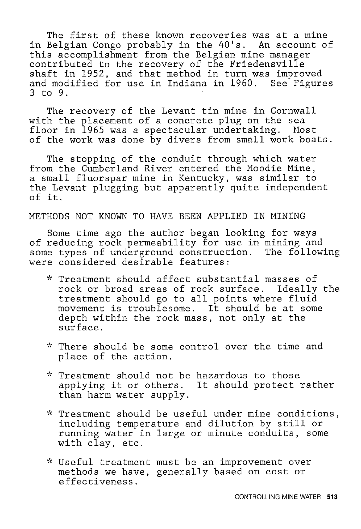The first of these known recoveries was at a mine in Belgian Congo probably in the 40's. An account of this accomplishment from the Belgian mine manager contributed to the recovery of the Friedensville shaft in 1952, and that method in turn was improved and modified for use in Indiana in 1960. See Figures 3 to 9.

The recovery of the Levant tin mine in Cornwall with the placement of a concrete plug on the sea floor in 1965 was a spectacular undertaking. Most of the work was done by divers from small work boats.

The stopping of the conduit through which water from the Cumberland River entered the Moodie Mine, a small fluorspar mine in Kentucky, was similar to the Levant plugging but apparently quite independent of it.

METHODS NOT KNOWN TO HAVE BEEN APPLIED IN MINING

Some time ago the author began looking for ways of reducing rock permeability for use in mining and some types of underground construction. The following were considered desirable features:

- \* Treatment should affect substantial masses of rock or broad areas of rock surface. Ideally the treatment should go to all points where fluid movement is troublesome. It should be at some depth within the rock mass, not only at the surface.
- *;'(* There should be some control over the time and place of the action.
- \* Treatment should not be hazardous to those applying it or others. It should protect rather than harm water supply.
- $*$  Treatment should be useful under mine conditions, including temperature and dilution by still or running water in large or minute conduits, some with clay, etc.
- ;'; Useful treatment must be an improvement over methods we have, generally based on cost or effectiveness.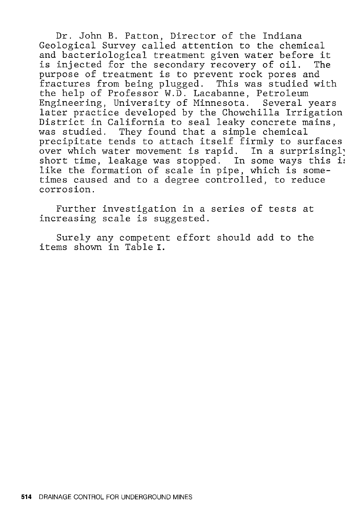Dr. John B. Patton, Director of the Indiana Geological Survey called attention to the chemical and bacteriological treatment given water before it is injected for the secondary recovery of oil. The purpose of treatment is to prevent rock pores and fractures from being plugged. This was studied with the help of Professor W.D. Lacabanne, Petroleum Engineering, University of Minnesota. Several years later practice developed by the Chowchilla Irrigation District in California to seal leaky concrete mains, was studied. They found that a simple chemical precipitate tends to attach itself firmly to surfaces procreased cense to accuse resonant in many conditions. short time, leakage was stopped. In some ways this ii like the formation of scale in pipe, which is sometimes caused and to a degree controlled, to reduce corrosion.

Further investigation in a series of tests at increasing scale is suggested.

Surely any competent effort should add to the items shown in Table I.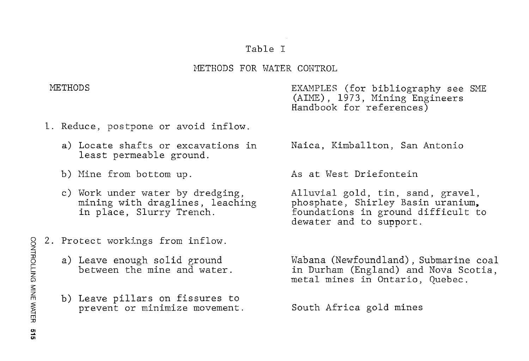## Table I

## METHODS FOR WATER CONTROL

METHODS

EXAMPLES (for bibliography see SME (AIME), 1973, Mining Engineers Handbook for references)

- l. Reduce, postpone or avoid inflow.
	- a) Locate shafts or excavations in least permeable ground.
	- b) Mine from bottom up.
	- c) Work under water by dredging, mining with draglines, leaching in place, Slurry Trench.
- 2. Protect workings from inflow.
	- a) Leave enough solid ground between the mine and water.
	- b) Leave pillars on fissures to prevent or minimize movement.

Naica, Kimballton, San Antonio

As at West Driefontein

Alluvial gold, tin, sand, gravel, phosphate, Shirley Basin uranium, foundations in ground difficult to dewater and to support.

Wabana (Newfoundland) , Submarine coal in Durham (England) and Nova Scotia, metal mines in Ontario, Quebec.

South Africa gold mines

**FROLLING MINE** ~  $\Xi^$ ց<br>5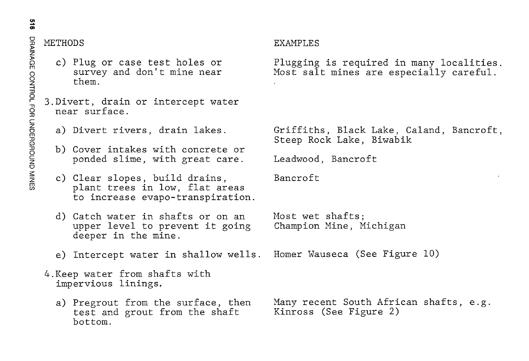# <sup>~</sup>METHODS

- c) Plug or case test holes or survey and don't mine near them.
- 3.Divert, drain or intercept water near surface.
	- a) Divert rivers, drain lakes.
	- b) Cover intakes with concrete or ponded slime, with great care.
	- c) Clear slopes, build drains, plant trees in low, flat areas to increase evapo-transpiration.
	- d) Catch water in shafts or on an upper level to prevent it going deeper in the mine.
	- e) Intercept water in shallow wells. Homer Wauseca (See Figure 10)
- 4.Keep water from shafts with impervious linings.
	- a) Pregrout from the surface, then test and grout from the shaft bottom.

## **FXAMPLES**

Plugging is required in many localities. Most salt mines are especially careful.

Griffiths, Black Lake, Caland, Bancroft, Steep Rock Lake, Biwabik

Leadwood, Bancroft

Bancroft

Most wet shafts; Champion Mine, Michigan

Many recent South African shafts, e.g. Kinross (See Figure 2)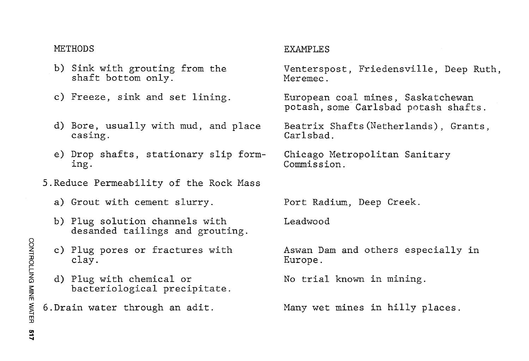## **METHODS**

- b) Sink with grouting from the shaft bottom only.
- c) Freeze, sink and set lining.
- d) Bore, usually with mud, and place casing.
- e) Drop shafts, stationary slip forming.
- 5.Reduce Permeability of the Rock Mass
	- a) Grout with cement slurry.
	- b) Plug solution channels with desanded tailings and grouting.
	- c) Plug pores or fractures with clay.
	- d) Plug with chemical or bacteriological precipitate.
- 6. Drain water through an adit.

## EXAMPLES

Venterspost, Friedensville, Deep Ruth, Meremec<sup>-</sup>

European coal mines, Saskatchewan potash, some-Carlsbad potash shafts.

Beatrix Shafts(Netherlands), Grants, Carlsbad.

Chicago Metropolitan Sanitary Commission.

Port Radium, Deep Creek.

Leadwood

Aswan Dam and others especially in Europe.

No trial known in mining.

Many wet mines in hilly places.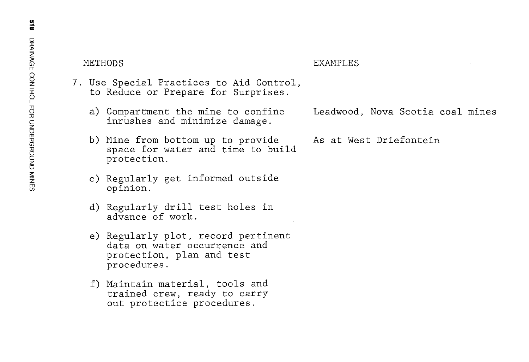$\widehat{P}$  is much mean in the METHODS example of the METHODS results of the METHODS results of the METHODS results of the METHODS of the METHODS of the METHODS of the METHODS of the METHODS of the METHODS of the METHODS of

- 7. Use Special Practices to Aid Control,<br>to Reduce or Prepare for Surprises.
	- a) Compartment the mine to confine Leadwood, Nova Scotia coal mines inrushes and minimize damage.
	- b) Mine from bottom up to provide As at West Driefontein space for water and time to build protection.
	- c) Regularly get informed outside opinion.
	- d) Regularly drill test holes in advance of work.
	- e) Regularly plot, record pertinent data on water occurrence and protection, plan and test procedures.
	- f) Maintain material, tools and trained crew, ready to carry out protectice procedures.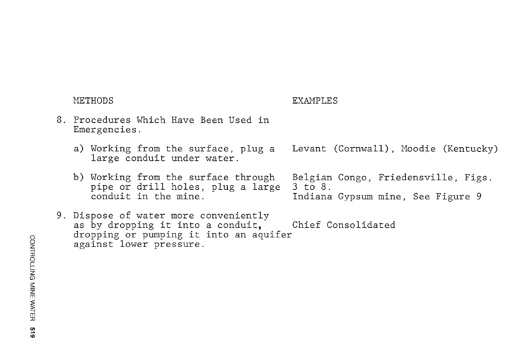| METHODS                                                                                                                                         | EXAMPLES                                                                            |
|-------------------------------------------------------------------------------------------------------------------------------------------------|-------------------------------------------------------------------------------------|
| 8. Procedures Which Have Been Used in<br>Emergencies.                                                                                           |                                                                                     |
| a) Working from the surface, plug a<br>large conduit under water.                                                                               | Levant (Cornwall), Moodie (Kentucky)                                                |
| b) Working from the surface through<br>pipe or drill holes, plug a large<br>conduit in the mine.                                                | Belgian Congo, Friedensville, Figs.<br>3 to 8.<br>Indiana Gypsum mine, See Figure 9 |
| 9. Dispose of water more conveniently<br>as by dropping it into a conduit.<br>dropping or pumping it into an aquifer<br>against lower pressure. | Chief Consolidated                                                                  |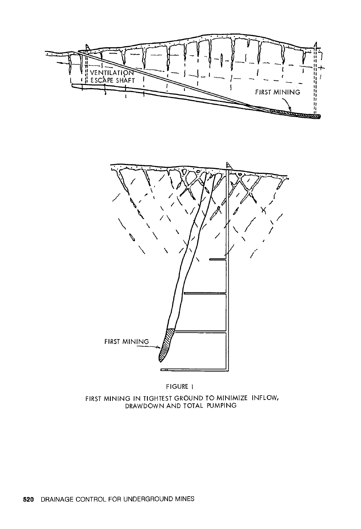



FIGURE 1 FIRST MINING IN TIGHTEST GROUND TO MINIMIZE INFLOW, DRAWDOWN AND TOTAL PUMPING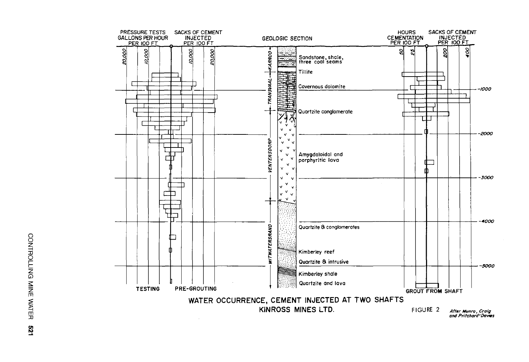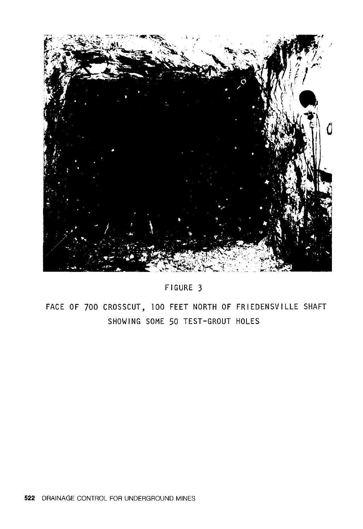

## FIGURE 3

FACE OF 700 CROSSCUT, 100 FEET NORTH OF FRIEDENSVILLE SHAFT SHOWING SOME 50 TEST-GROUT HOLES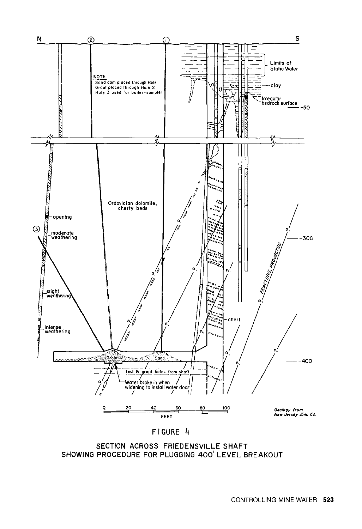

### FIGURE 4

SECTION ACROSS FRIEDENSVILLE SHAFT SHOWING PROCEDURE FOR PLUGGING 400' LEVEL BREAKOUT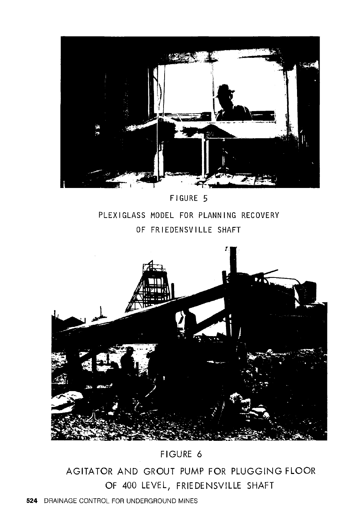

PLEXIGLASS MODEL FOR PLANNING RECOVERY OF FRIEDENSVILLE SHAFT



FIGURE 6

AGITATOR AND GROUT PUMP FOR PLUGGING FLOOR OF 400 LEVEL, FRIE DE NSVILLE SHAFT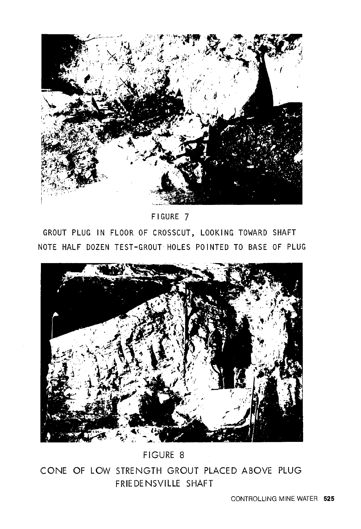

FIGURE 7

GROUT PLUG IN FLOOR OF CROSSCUT, LOOKING TOWARD SHAFT NOTE HALF DOZEN TEST-GROUT HOLES POINTED TO BASE OF PLUG



FIGURE 8

CONE OF LOW STRENGTH GROUT PLACED ABOVE PLUG FRIEDENSVILLE SHAFT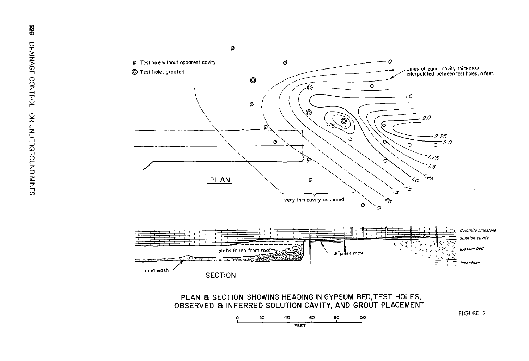